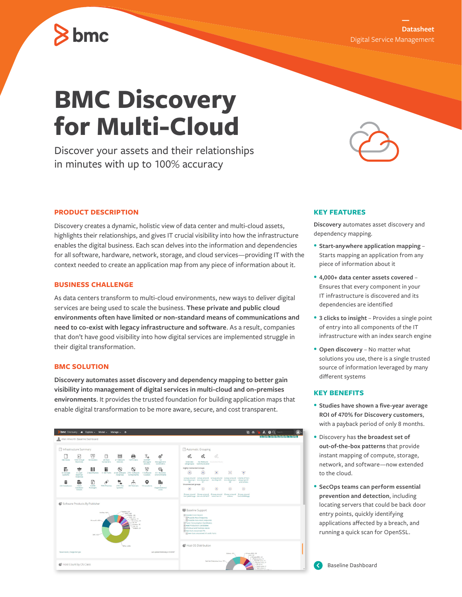## **Datasheet**

## Digital Service Management

# **BMC Discovery for Multi-Cloud**

Discover your assets and their relationships in minutes with up to 100% accuracy

#### **PRODUCT DESCRIPTION**

 $\geq$  bmc

Discovery creates a dynamic, holistic view of data center and multi-cloud assets, highlights their relationships, and gives IT crucial visibility into how the infrastructure enables the digital business. Each scan delves into the information and dependencies for all software, hardware, network, storage, and cloud services—providing IT with the context needed to create an application map from any piece of information about it.

#### **BUSINESS CHALLENGE**

As data centers transform to multi-cloud environments, new ways to deliver digital services are being used to scale the business. **These private and public cloud environments often have limited or non-standard means of communications and need to co-exist with legacy infrastructure and software**. As a result, companies that don't have good visibility into how digital services are implemented struggle in their digital transformation.

#### **BMC SOLUTION**

**Discovery automates asset discovery and dependency mapping to better gain visibility into management of digital services in multi-cloud and on-premises environments**. It provides the trusted foundation for building application maps that enable digital transformation to be more aware, secure, and cost transparent.



### **KEY FEATURES**

**Discovery** automates asset discovery and dependency mapping.

- **Start-anywhere application mapping** Starts mapping an application from any piece of information about it
- **4,000+ data center assets covered**  Ensures that every component in your IT infrastructure is discovered and its dependencies are identified
- **3 clicks to insight** Provides a single point of entry into all components of the IT infrastructure with an index search engine
- **Open discovery**  No matter what solutions you use, there is a single trusted source of information leveraged by many different systems

#### **KEY BENEFITS**

- **Studies have shown a five-year average ROI of 470% for Discovery customers**, with a payback period of only 8 months.
- Discovery has **the broadest set of out-of-the-box patterns** that provide instant mapping of compute, storage, network, and software—now extended to the cloud.
- **SecOps teams can perform essential prevention and detection**, including locating servers that could be back door entry points, quickly identifying applications affected by a breach, and running a quick scan for OpenSSL.